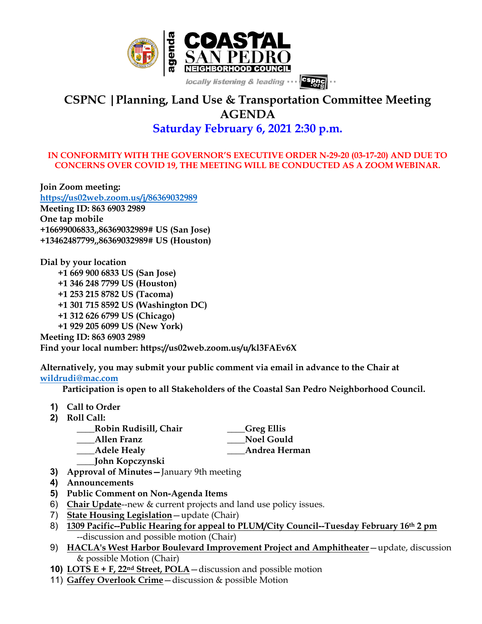

# **CSPNC |Planning, Land Use & Transportation Committee Meeting AGENDA**

# **Saturday February 6, 2021 2:30 p.m.**

### **IN CONFORMITY WITH THE GOVERNOR'S EXECUTIVE ORDER N-29-20 (03-17-20) AND DUE TO CONCERNS OVER COVID 19, THE MEETING WILL BE CONDUCTED AS A ZOOM WEBINAR.**

**Join Zoom meeting: https://us02web.zoom.us/j/86369032989 Meeting ID: 863 6903 2989 One tap mobile +16699006833,,86369032989# US (San Jose) +13462487799,,86369032989# US (Houston)**

**Dial by your location +1 669 900 6833 US (San Jose) +1 346 248 7799 US (Houston) +1 253 215 8782 US (Tacoma) +1 301 715 8592 US (Washington DC) +1 312 626 6799 US (Chicago) +1 929 205 6099 US (New York)**

**Meeting ID: 863 6903 2989**

**Find your local number: https://us02web.zoom.us/u/kl3FAEv6X**

**Alternatively, you may submit your public comment via email in advance to the Chair at wildrudi@mac.com**

 **Participation is open to all Stakeholders of the Coastal San Pedro Neighborhood Council.**

- **1) Call to Order**
- **2) Roll Call:**
	- **\_\_\_\_Robin Rudisill, Chair \_\_\_\_Greg Ellis**
	- **\_\_\_\_Allen Franz \_\_\_\_Noel Gould**
	- **\_\_\_\_Adele Healy \_\_\_\_Andrea Herman**
	- **\_\_\_\_John Kopczynski**
- **3) Approval of Minutes—**January 9th meeting
- **4) Announcements**
- **5) Public Comment on Non-Agenda Items**
- 6) **Chair Update**--new & current projects and land use policy issues.
- 7) **State Housing Legislation**—update (Chair)
- 8) **1309 Pacific--Public Hearing for appeal to PLUM/City Council--Tuesday February 16th 2 pm** --discussion and possible motion (Chair)
- 9) **HACLA's West Harbor Boulevard Improvement Project and Amphitheater**—update, discussion & possible Motion (Chair)
- **10) LOTS E + F, 22nd Street, POLA**—discussion and possible motion
- 11) **Gaffey Overlook Crime**—discussion & possible Motion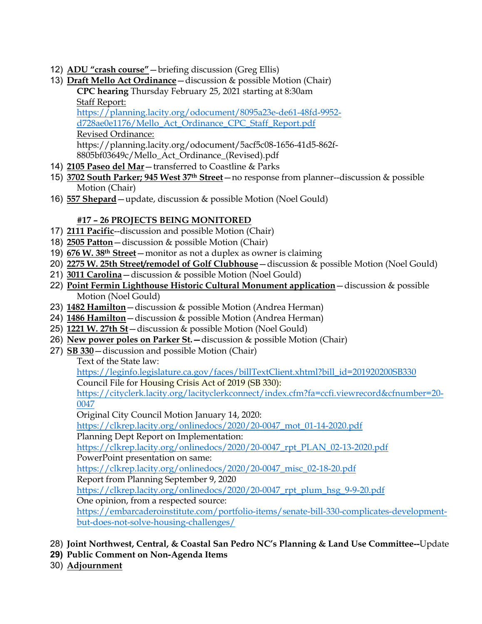- 12) **ADU "crash course"**—briefing discussion (Greg Ellis)
- 13) **Draft Mello Act Ordinance**—discussion & possible Motion (Chair) **CPC hearing** Thursday February 25, 2021 starting at 8:30am Staff Report: https://planning.lacity.org/odocument/8095a23e-de61-48fd-9952-

d728ae0e1176/Mello\_Act\_Ordinance\_CPC\_Staff\_Report.pdf

Revised Ordinance: https://planning.lacity.org/odocument/5acf5c08-1656-41d5-862f-8805bf03649c/Mello\_Act\_Ordinance\_(Revised).pdf

- 14) **2105 Paseo del Mar**—transferred to Coastline & Parks
- 15) **3702 South Parker; 945 West 37th Street**—no response from planner--discussion & possible Motion (Chair)
- 16) **557 Shepard**—update, discussion & possible Motion (Noel Gould)

# **#17 – 26 PROJECTS BEING MONITORED**

- 17) **2111 Pacific**--discussion and possible Motion (Chair)
- 18) **2505 Patton**—discussion & possible Motion (Chair)
- 19) **676 W. 38th Street**—monitor as not a duplex as owner is claiming
- 20) **2275 W. 25th Street/remodel of Golf Clubhouse**—discussion & possible Motion (Noel Gould)
- 21) **3011 Carolina**—discussion & possible Motion (Noel Gould)
- 22) **Point Fermin Lighthouse Historic Cultural Monument application**—discussion & possible Motion (Noel Gould)
- 23) **1482 Hamilton**—discussion & possible Motion (Andrea Herman)
- 24) **1486 Hamilton**—discussion & possible Motion (Andrea Herman)
- 25) **1221 W. 27th St**—discussion & possible Motion (Noel Gould)
- 26) **New power poles on Parker St.—**discussion & possible Motion (Chair)
- 27) **SB 330**—discussion and possible Motion (Chair)

Text of the State law:

https://leginfo.legislature.ca.gov/faces/billTextClient.xhtml?bill\_id=201920200SB330

Council File for Housing Crisis Act of 2019 (SB 330):

https://cityclerk.lacity.org/lacityclerkconnect/index.cfm?fa=ccfi.viewrecord&cfnumber=20- 0047

Original City Council Motion January 14, 2020:

https://clkrep.lacity.org/onlinedocs/2020/20-0047\_mot\_01-14-2020.pdf

Planning Dept Report on Implementation:

https://clkrep.lacity.org/onlinedocs/2020/20-0047\_rpt\_PLAN\_02-13-2020.pdf

PowerPoint presentation on same:

https://clkrep.lacity.org/onlinedocs/2020/20-0047\_misc\_02-18-20.pdf

Report from Planning September 9, 2020

https://clkrep.lacity.org/onlinedocs/2020/20-0047\_rpt\_plum\_hsg\_9-9-20.pdf

One opinion, from a respected source:

https://embarcaderoinstitute.com/portfolio-items/senate-bill-330-complicates-developmentbut-does-not-solve-housing-challenges/

- 28) **Joint Northwest, Central, & Coastal San Pedro NC's Planning & Land Use Committee--**Update
- **29) Public Comment on Non-Agenda Items**
- 30) **Adjournment**